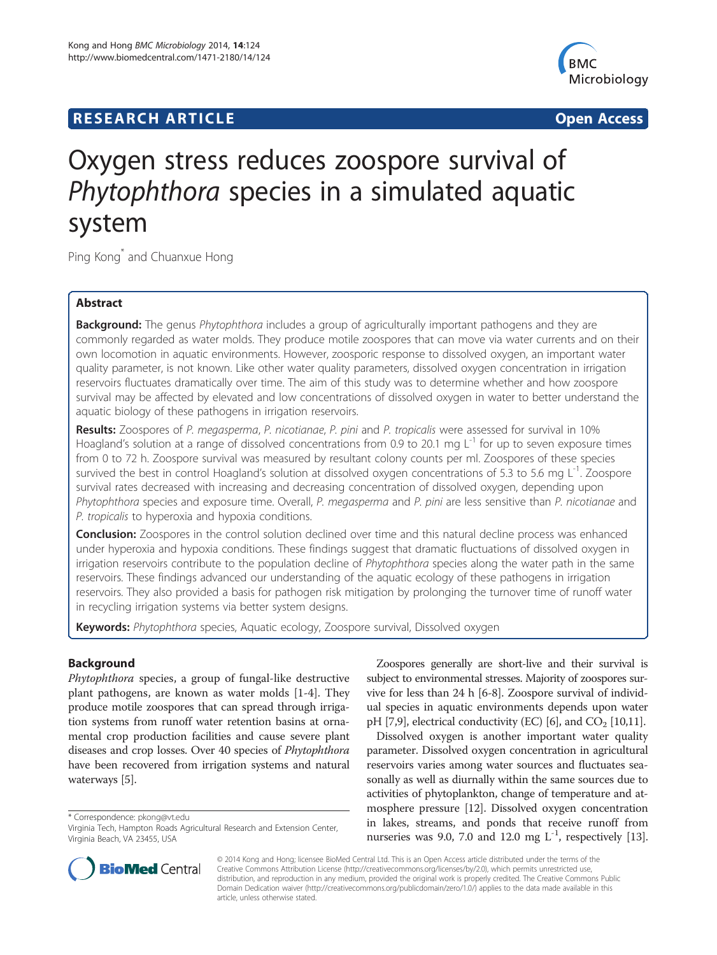# **RESEARCH ARTICLE Example 2014 12:30 The SEAR CHA RESEARCH ARTICLE**



# Oxygen stress reduces zoospore survival of Phytophthora species in a simulated aquatic system

Ping Kong\* and Chuanxue Hong

# Abstract

Background: The genus Phytophthora includes a group of agriculturally important pathogens and they are commonly regarded as water molds. They produce motile zoospores that can move via water currents and on their own locomotion in aquatic environments. However, zoosporic response to dissolved oxygen, an important water quality parameter, is not known. Like other water quality parameters, dissolved oxygen concentration in irrigation reservoirs fluctuates dramatically over time. The aim of this study was to determine whether and how zoospore survival may be affected by elevated and low concentrations of dissolved oxygen in water to better understand the aquatic biology of these pathogens in irrigation reservoirs.

Results: Zoospores of P. megasperma, P. nicotianae, P. pini and P. tropicalis were assessed for survival in 10% Hoagland's solution at a range of dissolved concentrations from 0.9 to 20.1 mg  $L^{-1}$  for up to seven exposure times from 0 to 72 h. Zoospore survival was measured by resultant colony counts per ml. Zoospores of these species survived the best in control Hoagland's solution at dissolved oxygen concentrations of 5.3 to 5.6 mg  $L^{-1}$ . Zoospore survival rates decreased with increasing and decreasing concentration of dissolved oxygen, depending upon Phytophthora species and exposure time. Overall, P. megasperma and P. pini are less sensitive than P. nicotianae and P. tropicalis to hyperoxia and hypoxia conditions.

**Conclusion:** Zoospores in the control solution declined over time and this natural decline process was enhanced under hyperoxia and hypoxia conditions. These findings suggest that dramatic fluctuations of dissolved oxygen in irrigation reservoirs contribute to the population decline of Phytophthora species along the water path in the same reservoirs. These findings advanced our understanding of the aquatic ecology of these pathogens in irrigation reservoirs. They also provided a basis for pathogen risk mitigation by prolonging the turnover time of runoff water in recycling irrigation systems via better system designs.

Keywords: Phytophthora species, Aquatic ecology, Zoospore survival, Dissolved oxygen

# Background

Phytophthora species, a group of fungal-like destructive plant pathogens, are known as water molds [\[1](#page-6-0)-[4\]](#page-6-0). They produce motile zoospores that can spread through irrigation systems from runoff water retention basins at ornamental crop production facilities and cause severe plant diseases and crop losses. Over 40 species of Phytophthora have been recovered from irrigation systems and natural waterways [[5](#page-6-0)].

\* Correspondence: [pkong@vt.edu](mailto:pkong@vt.edu)

Zoospores generally are short-live and their survival is subject to environmental stresses. Majority of zoospores survive for less than 24 h [\[6](#page-6-0)-[8\]](#page-6-0). Zoospore survival of individual species in aquatic environments depends upon water pH [\[7](#page-6-0)[,9\]](#page-7-0), electrical conductivity (EC) [[6](#page-6-0)], and  $CO<sub>2</sub>$  [\[10,11](#page-7-0)].

Dissolved oxygen is another important water quality parameter. Dissolved oxygen concentration in agricultural reservoirs varies among water sources and fluctuates seasonally as well as diurnally within the same sources due to activities of phytoplankton, change of temperature and atmosphere pressure [\[12\]](#page-7-0). Dissolved oxygen concentration in lakes, streams, and ponds that receive runoff from nurseries was 9.0, 7.0 and 12.0 mg  $L^{-1}$ , respectively [[13](#page-7-0)].



© 2014 Kong and Hong; licensee BioMed Central Ltd. This is an Open Access article distributed under the terms of the Creative Commons Attribution License (<http://creativecommons.org/licenses/by/2.0>), which permits unrestricted use, distribution, and reproduction in any medium, provided the original work is properly credited. The Creative Commons Public Domain Dedication waiver [\(http://creativecommons.org/publicdomain/zero/1.0/\)](http://creativecommons.org/publicdomain/zero/1.0/) applies to the data made available in this article, unless otherwise stated.

Virginia Tech, Hampton Roads Agricultural Research and Extension Center, Virginia Beach, VA 23455, USA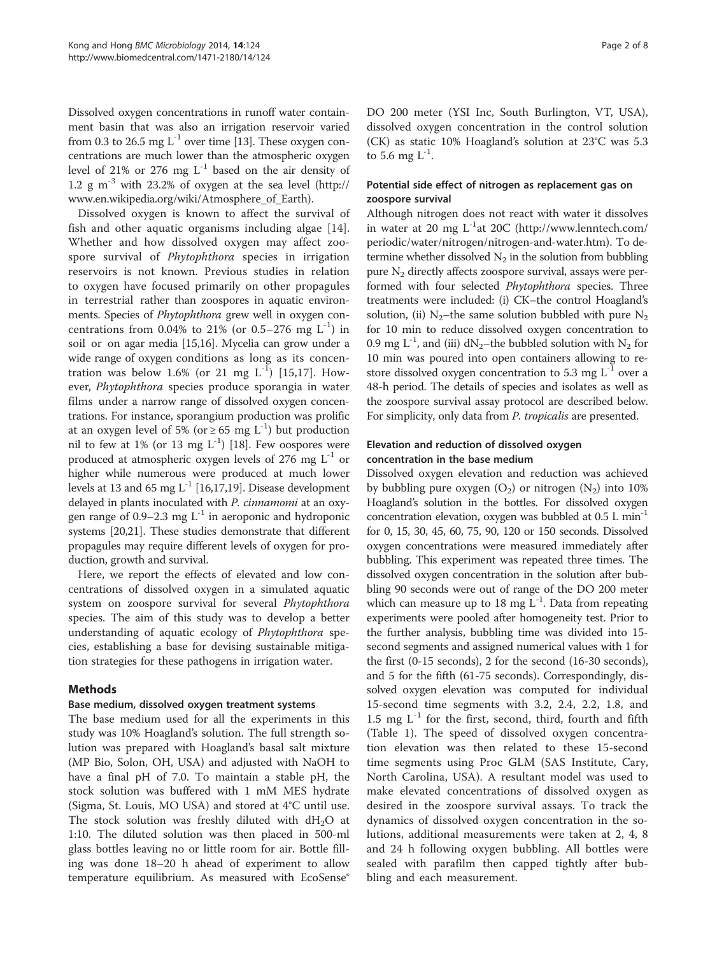Dissolved oxygen concentrations in runoff water containment basin that was also an irrigation reservoir varied from 0.3 to 26.5 mg  $L^{-1}$  over time [\[13\]](#page-7-0). These oxygen concentrations are much lower than the atmospheric oxygen level of 21% or 276 mg  $L^{-1}$  based on the air density of 1.2 g  $m^{-3}$  with 23.2% of oxygen at the sea level ([http://](http://www.en.wikipedia.org/wiki/Atmosphere_of_Earth) [www.en.wikipedia.org/wiki/Atmosphere\\_of\\_Earth](http://www.en.wikipedia.org/wiki/Atmosphere_of_Earth)).

Dissolved oxygen is known to affect the survival of fish and other aquatic organisms including algae [\[14](#page-7-0)]. Whether and how dissolved oxygen may affect zoospore survival of *Phytophthora* species in irrigation reservoirs is not known. Previous studies in relation to oxygen have focused primarily on other propagules in terrestrial rather than zoospores in aquatic environments. Species of Phytophthora grew well in oxygen concentrations from 0.04% to 21% (or 0.5–276 mg  $L^{-1}$ ) in soil or on agar media [\[15,16\]](#page-7-0). Mycelia can grow under a wide range of oxygen conditions as long as its concentration was below 1.6% (or 21 mg  $L^{-1}$ ) [[15,17](#page-7-0)]. However, Phytophthora species produce sporangia in water films under a narrow range of dissolved oxygen concentrations. For instance, sporangium production was prolific at an oxygen level of 5% (or  $\geq$  65 mg L<sup>-1</sup>) but production nil to few at 1% (or 13 mg  $L^{-1}$ ) [[18](#page-7-0)]. Few oospores were produced at atmospheric oxygen levels of 276 mg  $L^{-1}$  or higher while numerous were produced at much lower levels at 13 and 65 mg  $L^{-1}$  [\[16,17,19](#page-7-0)]. Disease development delayed in plants inoculated with P. cinnamomi at an oxygen range of 0.9–2.3 mg  $L^{-1}$  in aeroponic and hydroponic systems [\[20,21\]](#page-7-0). These studies demonstrate that different propagules may require different levels of oxygen for production, growth and survival.

Here, we report the effects of elevated and low concentrations of dissolved oxygen in a simulated aquatic system on zoospore survival for several Phytophthora species. The aim of this study was to develop a better understanding of aquatic ecology of Phytophthora species, establishing a base for devising sustainable mitigation strategies for these pathogens in irrigation water.

## Methods

#### Base medium, dissolved oxygen treatment systems

The base medium used for all the experiments in this study was 10% Hoagland's solution. The full strength solution was prepared with Hoagland's basal salt mixture (MP Bio, Solon, OH, USA) and adjusted with NaOH to have a final pH of 7.0. To maintain a stable pH, the stock solution was buffered with 1 mM MES hydrate (Sigma, St. Louis, MO USA) and stored at 4°C until use. The stock solution was freshly diluted with  $dH_2O$  at 1:10. The diluted solution was then placed in 500-ml glass bottles leaving no or little room for air. Bottle filling was done 18–20 h ahead of experiment to allow temperature equilibrium. As measured with EcoSense® DO 200 meter (YSI Inc, South Burlington, VT, USA), dissolved oxygen concentration in the control solution (CK) as static 10% Hoagland's solution at 23°C was 5.3 to 5.6 mg  $L^{-1}$ .

# Potential side effect of nitrogen as replacement gas on zoospore survival

Although nitrogen does not react with water it dissolves in water at 20 mg  $L^{-1}$ at 20C [\(http://www.lenntech.com/](http://www.lenntech.com/periodic/water/nitrogen/nitrogen-and-water.htm) [periodic/water/nitrogen/nitrogen-and-water.htm](http://www.lenntech.com/periodic/water/nitrogen/nitrogen-and-water.htm)). To determine whether dissolved  $N_2$  in the solution from bubbling pure  $N<sub>2</sub>$  directly affects zoospore survival, assays were performed with four selected Phytophthora species. Three treatments were included: (i) CK–the control Hoagland's solution, (ii)  $N_2$ –the same solution bubbled with pure N<sub>2</sub> for 10 min to reduce dissolved oxygen concentration to 0.9 mg L<sup>-1</sup>, and (iii) dN<sub>2</sub>-the bubbled solution with N<sub>2</sub> for 10 min was poured into open containers allowing to restore dissolved oxygen concentration to 5.3 mg  $L^{-1}$  over a 48-h period. The details of species and isolates as well as the zoospore survival assay protocol are described below. For simplicity, only data from *P. tropicalis* are presented.

# Elevation and reduction of dissolved oxygen concentration in the base medium

Dissolved oxygen elevation and reduction was achieved by bubbling pure oxygen  $(O_2)$  or nitrogen  $(N_2)$  into 10% Hoagland's solution in the bottles. For dissolved oxygen concentration elevation, oxygen was bubbled at  $0.5$  L min<sup>-1</sup> for 0, 15, 30, 45, 60, 75, 90, 120 or 150 seconds. Dissolved oxygen concentrations were measured immediately after bubbling. This experiment was repeated three times. The dissolved oxygen concentration in the solution after bubbling 90 seconds were out of range of the DO 200 meter which can measure up to 18 mg  $L^{-1}$ . Data from repeating experiments were pooled after homogeneity test. Prior to the further analysis, bubbling time was divided into 15 second segments and assigned numerical values with 1 for the first (0-15 seconds), 2 for the second (16-30 seconds), and 5 for the fifth (61-75 seconds). Correspondingly, dissolved oxygen elevation was computed for individual 15-second time segments with 3.2, 2.4, 2.2, 1.8, and 1.5 mg  $L^{-1}$  for the first, second, third, fourth and fifth (Table [1\)](#page-2-0). The speed of dissolved oxygen concentration elevation was then related to these 15-second time segments using Proc GLM (SAS Institute, Cary, North Carolina, USA). A resultant model was used to make elevated concentrations of dissolved oxygen as desired in the zoospore survival assays. To track the dynamics of dissolved oxygen concentration in the solutions, additional measurements were taken at 2, 4, 8 and 24 h following oxygen bubbling. All bottles were sealed with parafilm then capped tightly after bubbling and each measurement.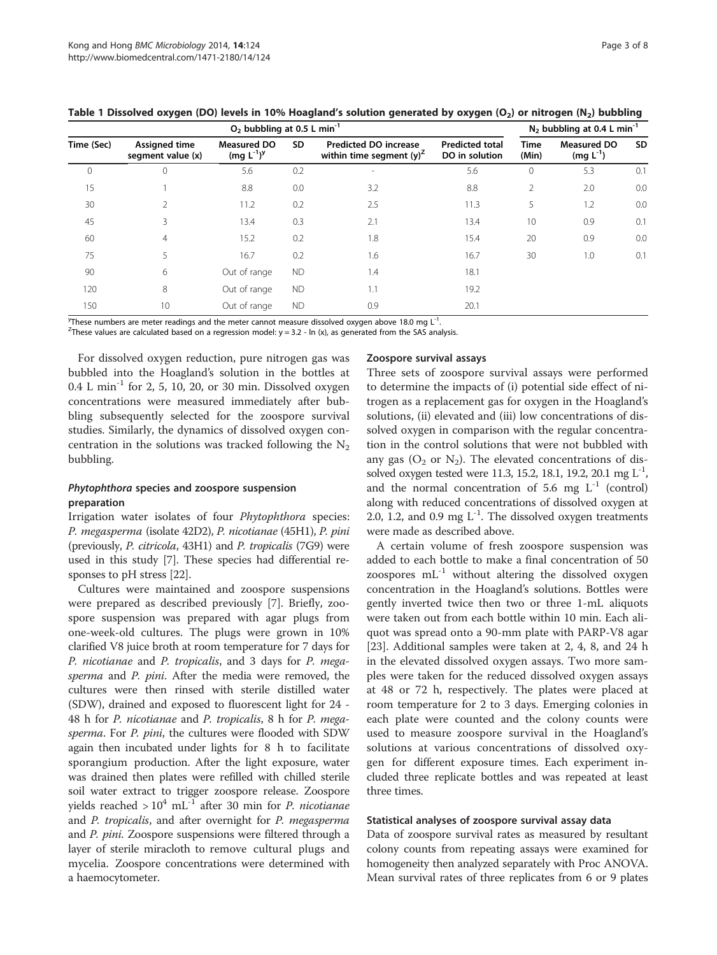|            | $O2$ bubbling at 0.5 L min <sup>-1</sup>  |                                       |           |                                                             | $N_2$ bubbling at 0.4 L min <sup>-1</sup> |                      |                                     |           |
|------------|-------------------------------------------|---------------------------------------|-----------|-------------------------------------------------------------|-------------------------------------------|----------------------|-------------------------------------|-----------|
| Time (Sec) | <b>Assigned time</b><br>segment value (x) | <b>Measured DO</b><br>$(mg L^{-1})^y$ | SD        | <b>Predicted DO increase</b><br>within time segment $(y)^2$ | <b>Predicted total</b><br>DO in solution  | <b>Time</b><br>(Min) | <b>Measured DO</b><br>$(mg L^{-1})$ | <b>SD</b> |
| 0          | 0                                         | 5.6                                   | 0.2       | $\overline{a}$                                              | 5.6                                       | $\mathbf 0$          | 5.3                                 | 0.1       |
| 15         |                                           | 8.8                                   | 0.0       | 3.2                                                         | 8.8                                       | $\overline{2}$       | 2.0                                 | 0.0       |
| 30         | 2                                         | 11.2                                  | 0.2       | 2.5                                                         | 11.3                                      | 5                    | 1.2                                 | 0.0       |
| 45         | 3                                         | 13.4                                  | 0.3       | 2.1                                                         | 13.4                                      | 10                   | 0.9                                 | 0.1       |
| 60         | $\overline{4}$                            | 15.2                                  | 0.2       | 1.8                                                         | 15.4                                      | 20                   | 0.9                                 | 0.0       |
| 75         | 5                                         | 16.7                                  | 0.2       | 1.6                                                         | 16.7                                      | 30                   | 1.0                                 | 0.1       |
| 90         | 6                                         | Out of range                          | <b>ND</b> | 1.4                                                         | 18.1                                      |                      |                                     |           |
| 120        | 8                                         | Out of range                          | <b>ND</b> | 1.1                                                         | 19.2                                      |                      |                                     |           |
| 150        | 10                                        | Out of range                          | <b>ND</b> | 0.9                                                         | 20.1                                      |                      |                                     |           |

<span id="page-2-0"></span>

| Table 1 Dissolved oxygen (DO) levels in 10% Hoagland's solution generated by oxygen (O <sub>2</sub> ) or nitrogen (N <sub>2</sub> ) bubbling |  |  |
|----------------------------------------------------------------------------------------------------------------------------------------------|--|--|
|----------------------------------------------------------------------------------------------------------------------------------------------|--|--|

These numbers are meter readings and the meter cannot measure dissolved oxygen above 18.0 mg L<sup>-1</sup>.<br><sup>Z</sup>These values are calculated based on a regression model: y – 3.2 - ln (y) as generated from the SAS ana

<sup>Z</sup>These values are calculated based on a regression model:  $y = 3.2$  - ln (x), as generated from the SAS analysis.

For dissolved oxygen reduction, pure nitrogen gas was bubbled into the Hoagland's solution in the bottles at 0.4 L min-1 for 2, 5, 10, 20, or 30 min. Dissolved oxygen concentrations were measured immediately after bubbling subsequently selected for the zoospore survival studies. Similarly, the dynamics of dissolved oxygen concentration in the solutions was tracked following the  $N_2$ bubbling.

## Phytophthora species and zoospore suspension preparation

Irrigation water isolates of four Phytophthora species: P. megasperma (isolate 42D2), P. nicotianae (45H1), P. pini (previously, P. citricola, 43H1) and P. tropicalis (7G9) were used in this study [[7](#page-6-0)]. These species had differential responses to pH stress [\[22\]](#page-7-0).

Cultures were maintained and zoospore suspensions were prepared as described previously [\[7](#page-6-0)]. Briefly, zoospore suspension was prepared with agar plugs from one-week-old cultures. The plugs were grown in 10% clarified V8 juice broth at room temperature for 7 days for P. nicotianae and P. tropicalis, and 3 days for P. megasperma and P. pini. After the media were removed, the cultures were then rinsed with sterile distilled water (SDW), drained and exposed to fluorescent light for 24 - 48 h for P. nicotianae and P. tropicalis, 8 h for P. megasperma. For P. pini, the cultures were flooded with SDW again then incubated under lights for 8 h to facilitate sporangium production. After the light exposure, water was drained then plates were refilled with chilled sterile soil water extract to trigger zoospore release. Zoospore yields reached  $> 10^4$  mL<sup>-1</sup> after 30 min for *P. nicotianae* and *P. tropicalis*, and after overnight for *P. megasperma* and P. pini. Zoospore suspensions were filtered through a layer of sterile miracloth to remove cultural plugs and mycelia. Zoospore concentrations were determined with a haemocytometer.

#### Zoospore survival assays

Three sets of zoospore survival assays were performed to determine the impacts of (i) potential side effect of nitrogen as a replacement gas for oxygen in the Hoagland's solutions, (ii) elevated and (iii) low concentrations of dissolved oxygen in comparison with the regular concentration in the control solutions that were not bubbled with any gas  $(O_2 \text{ or } N_2)$ . The elevated concentrations of dissolved oxygen tested were 11.3, 15.2, 18.1, 19.2, 20.1 mg  $L^{-1}$ , and the normal concentration of 5.6 mg  $L^{-1}$  (control) along with reduced concentrations of dissolved oxygen at 2.0, 1.2, and 0.9 mg  $L^{-1}$ . The dissolved oxygen treatments were made as described above.

A certain volume of fresh zoospore suspension was added to each bottle to make a final concentration of 50 zoospores  $mL^{-1}$  without altering the dissolved oxygen concentration in the Hoagland's solutions. Bottles were gently inverted twice then two or three 1-mL aliquots were taken out from each bottle within 10 min. Each aliquot was spread onto a 90-mm plate with PARP-V8 agar [[23\]](#page-7-0). Additional samples were taken at 2, 4, 8, and 24 h in the elevated dissolved oxygen assays. Two more samples were taken for the reduced dissolved oxygen assays at 48 or 72 h, respectively. The plates were placed at room temperature for 2 to 3 days. Emerging colonies in each plate were counted and the colony counts were used to measure zoospore survival in the Hoagland's solutions at various concentrations of dissolved oxygen for different exposure times. Each experiment included three replicate bottles and was repeated at least three times.

#### Statistical analyses of zoospore survival assay data

Data of zoospore survival rates as measured by resultant colony counts from repeating assays were examined for homogeneity then analyzed separately with Proc ANOVA. Mean survival rates of three replicates from 6 or 9 plates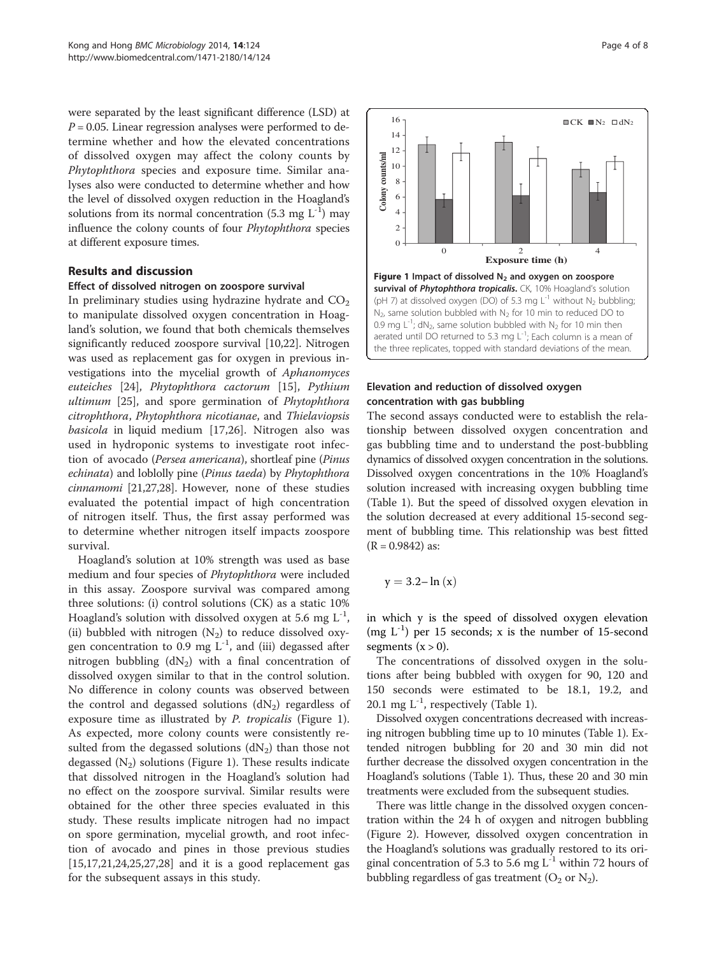were separated by the least significant difference (LSD) at  $P = 0.05$ . Linear regression analyses were performed to determine whether and how the elevated concentrations of dissolved oxygen may affect the colony counts by Phytophthora species and exposure time. Similar analyses also were conducted to determine whether and how the level of dissolved oxygen reduction in the Hoagland's solutions from its normal concentration  $(5.3 \text{ mg } L^{-1})$  may influence the colony counts of four Phytophthora species at different exposure times.

## Results and discussion

#### Effect of dissolved nitrogen on zoospore survival

In preliminary studies using hydrazine hydrate and  $CO<sub>2</sub>$ to manipulate dissolved oxygen concentration in Hoagland's solution, we found that both chemicals themselves significantly reduced zoospore survival [\[10,22](#page-7-0)]. Nitrogen was used as replacement gas for oxygen in previous investigations into the mycelial growth of Aphanomyces euteiches [[24\]](#page-7-0), Phytophthora cactorum [\[15\]](#page-7-0), Pythium ultimum [\[25](#page-7-0)], and spore germination of *Phytophthora* citrophthora, Phytophthora nicotianae, and Thielaviopsis basicola in liquid medium [\[17,26](#page-7-0)]. Nitrogen also was used in hydroponic systems to investigate root infection of avocado (Persea americana), shortleaf pine (Pinus echinata) and loblolly pine (Pinus taeda) by Phytophthora cinnamomi [\[21,27,28\]](#page-7-0). However, none of these studies evaluated the potential impact of high concentration of nitrogen itself. Thus, the first assay performed was to determine whether nitrogen itself impacts zoospore survival.

Hoagland's solution at 10% strength was used as base medium and four species of Phytophthora were included in this assay. Zoospore survival was compared among three solutions: (i) control solutions (CK) as a static 10% Hoagland's solution with dissolved oxygen at 5.6 mg  $L^{-1}$ , (ii) bubbled with nitrogen  $(N_2)$  to reduce dissolved oxygen concentration to 0.9 mg  $L^{-1}$ , and (iii) degassed after nitrogen bubbling  $(dN_2)$  with a final concentration of dissolved oxygen similar to that in the control solution. No difference in colony counts was observed between the control and degassed solutions  $(dN_2)$  regardless of exposure time as illustrated by *P. tropicalis* (Figure 1). As expected, more colony counts were consistently resulted from the degassed solutions  $(dN_2)$  than those not degassed  $(N_2)$  solutions (Figure 1). These results indicate that dissolved nitrogen in the Hoagland's solution had no effect on the zoospore survival. Similar results were obtained for the other three species evaluated in this study. These results implicate nitrogen had no impact on spore germination, mycelial growth, and root infection of avocado and pines in those previous studies [[15,17,21,24,25,27](#page-7-0),[28](#page-7-0)] and it is a good replacement gas for the subsequent assays in this study.



#### Elevation and reduction of dissolved oxygen concentration with gas bubbling

The second assays conducted were to establish the relationship between dissolved oxygen concentration and gas bubbling time and to understand the post-bubbling dynamics of dissolved oxygen concentration in the solutions. Dissolved oxygen concentrations in the 10% Hoagland's solution increased with increasing oxygen bubbling time (Table [1](#page-2-0)). But the speed of dissolved oxygen elevation in the solution decreased at every additional 15-second segment of bubbling time. This relationship was best fitted  $(R = 0.9842)$  as:

$$
y=3.2\text{--}\ln{(x)}
$$

in which y is the speed of dissolved oxygen elevation (mg  $L^{-1}$ ) per 15 seconds; x is the number of 15-second segments  $(x > 0)$ .

The concentrations of dissolved oxygen in the solutions after being bubbled with oxygen for 90, 120 and 150 seconds were estimated to be 18.1, 19.2, and 20.1 mg  $L^{-1}$ , respectively (Table [1](#page-2-0)).

Dissolved oxygen concentrations decreased with increasing nitrogen bubbling time up to 10 minutes (Table [1](#page-2-0)). Extended nitrogen bubbling for 20 and 30 min did not further decrease the dissolved oxygen concentration in the Hoagland's solutions (Table [1](#page-2-0)). Thus, these 20 and 30 min treatments were excluded from the subsequent studies.

There was little change in the dissolved oxygen concentration within the 24 h of oxygen and nitrogen bubbling (Figure [2\)](#page-4-0). However, dissolved oxygen concentration in the Hoagland's solutions was gradually restored to its original concentration of 5.3 to 5.6 mg  $L^{-1}$  within 72 hours of bubbling regardless of gas treatment  $(O_2 \text{ or } N_2)$ .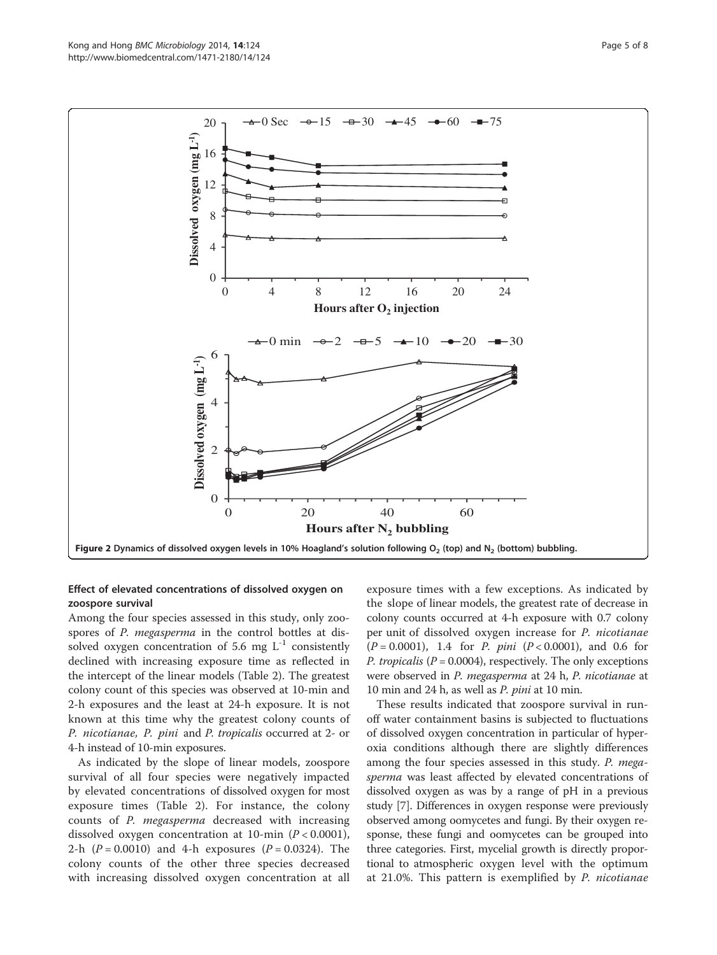<span id="page-4-0"></span>

## Effect of elevated concentrations of dissolved oxygen on zoospore survival

Among the four species assessed in this study, only zoospores of *P. megasperma* in the control bottles at dissolved oxygen concentration of 5.6 mg  $L^{-1}$  consistently declined with increasing exposure time as reflected in the intercept of the linear models (Table [2](#page-5-0)). The greatest colony count of this species was observed at 10-min and 2-h exposures and the least at 24-h exposure. It is not known at this time why the greatest colony counts of P. nicotianae, P. pini and P. tropicalis occurred at 2- or 4-h instead of 10-min exposures.

As indicated by the slope of linear models, zoospore survival of all four species were negatively impacted by elevated concentrations of dissolved oxygen for most exposure times (Table [2](#page-5-0)). For instance, the colony counts of P. megasperma decreased with increasing dissolved oxygen concentration at 10-min  $(P < 0.0001)$ , 2-h  $(P = 0.0010)$  and 4-h exposures  $(P = 0.0324)$ . The colony counts of the other three species decreased with increasing dissolved oxygen concentration at all exposure times with a few exceptions. As indicated by the slope of linear models, the greatest rate of decrease in colony counts occurred at 4-h exposure with 0.7 colony per unit of dissolved oxygen increase for P. nicotianae  $(P = 0.0001)$ , 1.4 for *P. pini*  $(P < 0.0001)$ , and 0.6 for *P. tropicalis* ( $P = 0.0004$ ), respectively. The only exceptions were observed in *P. megasperma* at 24 h, *P. nicotianae* at 10 min and 24 h, as well as P. pini at 10 min.

These results indicated that zoospore survival in runoff water containment basins is subjected to fluctuations of dissolved oxygen concentration in particular of hyperoxia conditions although there are slightly differences among the four species assessed in this study. P. megasperma was least affected by elevated concentrations of dissolved oxygen as was by a range of pH in a previous study [[7](#page-6-0)]. Differences in oxygen response were previously observed among oomycetes and fungi. By their oxygen response, these fungi and oomycetes can be grouped into three categories. First, mycelial growth is directly proportional to atmospheric oxygen level with the optimum at 21.0%. This pattern is exemplified by P. nicotianae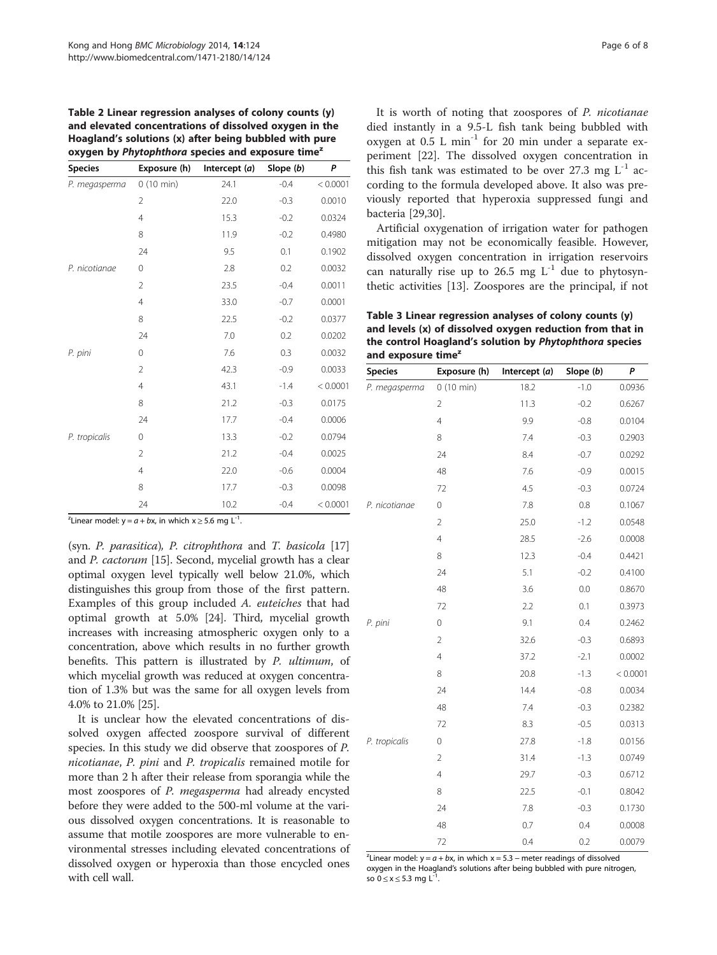<span id="page-5-0"></span>Table 2 Linear regression analyses of colony counts (y) and elevated concentrations of dissolved oxygen in the Hoagland's solutions (x) after being bubbled with pure oxygen by Phytophthora species and exposure time<sup>z</sup>

| <b>Species</b> | Exposure (h)   | Intercept $(a)$ | Slope (b) | P        |
|----------------|----------------|-----------------|-----------|----------|
| P. megasperma  | 0(10 min)      | 24.1            | $-0.4$    | < 0.0001 |
|                | $\overline{2}$ | 22.0            | $-0.3$    | 0.0010   |
|                | $\overline{4}$ | 15.3            | $-0.2$    | 0.0324   |
|                | 8              | 11.9            | $-0.2$    | 0.4980   |
|                | 24             | 9.5             | 0.1       | 0.1902   |
| P. nicotianae  | 0              | 2.8             | 0.2       | 0.0032   |
|                | $\overline{2}$ | 23.5            | $-0.4$    | 0.0011   |
|                | $\overline{4}$ | 33.0            | $-0.7$    | 0.0001   |
|                | 8              | 22.5            | $-0.2$    | 0.0377   |
|                | 24             | 7.0             | 0.2       | 0.0202   |
| P. pini        | 0              | 7.6             | 0.3       | 0.0032   |
|                | $\overline{2}$ | 42.3            | $-0.9$    | 0.0033   |
|                | $\overline{4}$ | 43.1            | $-1.4$    | < 0.0001 |
|                | 8              | 21.2            | $-0.3$    | 0.0175   |
|                | 24             | 17.7            | $-0.4$    | 0.0006   |
| P. tropicalis  | 0              | 13.3            | $-0.2$    | 0.0794   |
|                | $\overline{2}$ | 21.2            | $-0.4$    | 0.0025   |
|                | $\overline{4}$ | 22.0            | $-0.6$    | 0.0004   |
|                | 8              | 17.7            | $-0.3$    | 0.0098   |
|                | 24             | 10.2            | $-0.4$    | < 0.0001 |

<sup>2</sup> Linear model:  $y = a + bx$ , in which  $x \ge 5.6$  mg L<sup>-1</sup>.

(syn. P. parasitica), P. citrophthora and T. basicola [[17](#page-7-0)] and P. cactorum [[15](#page-7-0)]. Second, mycelial growth has a clear optimal oxygen level typically well below 21.0%, which distinguishes this group from those of the first pattern. Examples of this group included A. euteiches that had optimal growth at 5.0% [\[24\]](#page-7-0). Third, mycelial growth increases with increasing atmospheric oxygen only to a concentration, above which results in no further growth benefits. This pattern is illustrated by P. ultimum, of which mycelial growth was reduced at oxygen concentration of 1.3% but was the same for all oxygen levels from 4.0% to 21.0% [[25](#page-7-0)].

It is unclear how the elevated concentrations of dissolved oxygen affected zoospore survival of different species. In this study we did observe that zoospores of P. nicotianae, P. pini and P. tropicalis remained motile for more than 2 h after their release from sporangia while the most zoospores of P. megasperma had already encysted before they were added to the 500-ml volume at the various dissolved oxygen concentrations. It is reasonable to assume that motile zoospores are more vulnerable to environmental stresses including elevated concentrations of dissolved oxygen or hyperoxia than those encycled ones with cell wall.

It is worth of noting that zoospores of P. nicotianae died instantly in a 9.5-L fish tank being bubbled with oxygen at  $0.5$  L min<sup>-1</sup> for 20 min under a separate experiment [\[22\]](#page-7-0). The dissolved oxygen concentration in this fish tank was estimated to be over 27.3 mg  $L^{-1}$  according to the formula developed above. It also was previously reported that hyperoxia suppressed fungi and bacteria [[29,30\]](#page-7-0).

Artificial oxygenation of irrigation water for pathogen mitigation may not be economically feasible. However, dissolved oxygen concentration in irrigation reservoirs can naturally rise up to 26.5 mg  $L^{-1}$  due to phytosynthetic activities [\[13](#page-7-0)]. Zoospores are the principal, if not

Table 3 Linear regression analyses of colony counts (y) and levels (x) of dissolved oxygen reduction from that in the control Hoagland's solution by Phytophthora species and exposure time<sup>z</sup>

| <b>Species</b> | Exposure (h)   | Intercept (a) | Slope (b) | P        |
|----------------|----------------|---------------|-----------|----------|
| P. megasperma  | 0(10 min)      | 18.2          | $-1.0$    | 0.0936   |
|                | $\overline{2}$ | 11.3          | $-0.2$    | 0.6267   |
|                | $\overline{4}$ | 9.9           | $-0.8$    | 0.0104   |
|                | 8              | 7.4           | $-0.3$    | 0.2903   |
|                | 24             | 8.4           | $-0.7$    | 0.0292   |
|                | 48             | 7.6           | $-0.9$    | 0.0015   |
|                | 72             | 4.5           | $-0.3$    | 0.0724   |
| P. nicotianae  | $\mathbf 0$    | 7.8           | 0.8       | 0.1067   |
|                | $\overline{2}$ | 25.0          | $-1.2$    | 0.0548   |
|                | $\overline{4}$ | 28.5          | $-2.6$    | 0.0008   |
|                | 8              | 12.3          | $-0.4$    | 0.4421   |
|                | 24             | 5.1           | $-0.2$    | 0.4100   |
|                | 48             | 3.6           | 0.0       | 0.8670   |
|                | 72             | 2.2           | 0.1       | 0.3973   |
| P. pini        | $\mathbf 0$    | 9.1           | 0.4       | 0.2462   |
|                | $\overline{2}$ | 32.6          | $-0.3$    | 0.6893   |
|                | 4              | 37.2          | $-2.1$    | 0.0002   |
|                | 8              | 20.8          | $-1.3$    | < 0.0001 |
|                | 24             | 14.4          | $-0.8$    | 0.0034   |
|                | 48             | 7.4           | $-0.3$    | 0.2382   |
|                | 72             | 8.3           | $-0.5$    | 0.0313   |
| P. tropicalis  | $\mathcal O$   | 27.8          | $-1.8$    | 0.0156   |
|                | $\overline{2}$ | 31.4          | $-1.3$    | 0.0749   |
|                | $\overline{4}$ | 29.7          | $-0.3$    | 0.6712   |
|                | 8              | 22.5          | $-0.1$    | 0.8042   |
|                | 24             | 7.8           | $-0.3$    | 0.1730   |
|                | 48             | 0.7           | 0.4       | 0.0008   |
|                | 72             | 0.4           | 0.2       | 0.0079   |

<sup>2</sup> Linear model: y =  $a + bx$ , in which  $x = 5.3$  – meter readings of dissolved oxigan in the Hoagland's solutions after being hubbled with pure pitch oxygen in the Hoagland's solutions after being bubbled with pure nitrogen, so  $0 \le x \le 5.3$  mg L<sup>-1</sup>.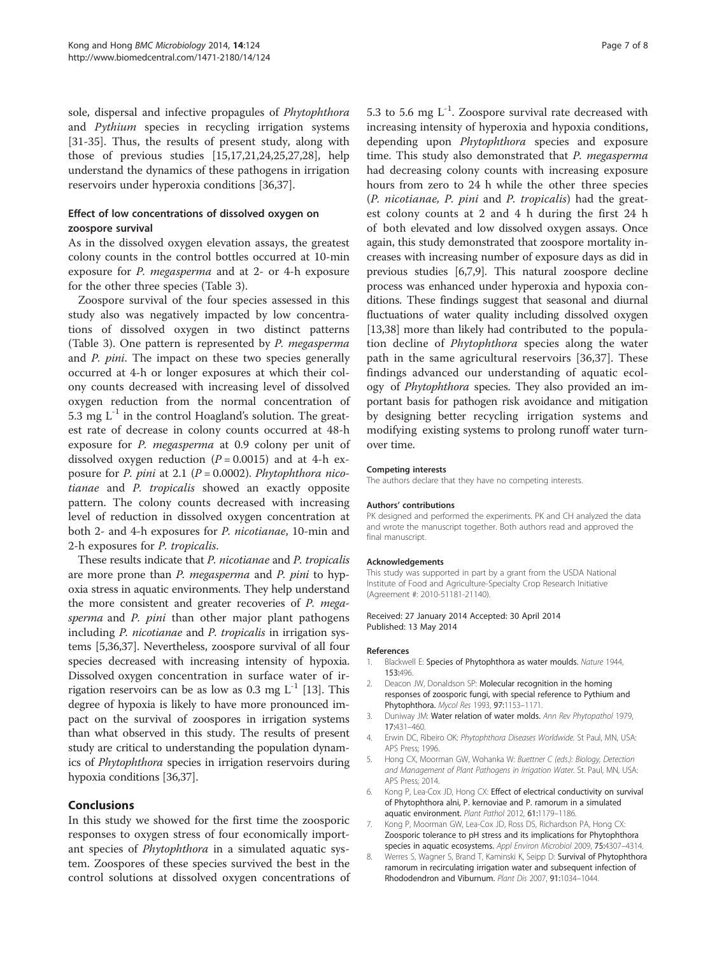<span id="page-6-0"></span>sole, dispersal and infective propagules of Phytophthora and Pythium species in recycling irrigation systems [[31-35](#page-7-0)]. Thus, the results of present study, along with those of previous studies [\[15,17,21,24,25,27,28\]](#page-7-0), help understand the dynamics of these pathogens in irrigation reservoirs under hyperoxia conditions [\[36,37\]](#page-7-0).

# Effect of low concentrations of dissolved oxygen on zoospore survival

As in the dissolved oxygen elevation assays, the greatest colony counts in the control bottles occurred at 10-min exposure for P. megasperma and at 2- or 4-h exposure for the other three species (Table [3](#page-5-0)).

Zoospore survival of the four species assessed in this study also was negatively impacted by low concentrations of dissolved oxygen in two distinct patterns (Table [3\)](#page-5-0). One pattern is represented by P. megasperma and P. pini. The impact on these two species generally occurred at 4-h or longer exposures at which their colony counts decreased with increasing level of dissolved oxygen reduction from the normal concentration of 5.3 mg  $L^{-1}$  in the control Hoagland's solution. The greatest rate of decrease in colony counts occurred at 48-h exposure for P. megasperma at 0.9 colony per unit of dissolved oxygen reduction  $(P = 0.0015)$  and at 4-h exposure for P. pini at 2.1 ( $P = 0.0002$ ). Phytophthora nicotianae and P. tropicalis showed an exactly opposite pattern. The colony counts decreased with increasing level of reduction in dissolved oxygen concentration at both 2- and 4-h exposures for P. nicotianae, 10-min and 2-h exposures for P. tropicalis.

These results indicate that P. nicotianae and P. tropicalis are more prone than P. megasperma and P. pini to hypoxia stress in aquatic environments. They help understand the more consistent and greater recoveries of P. megasperma and P. pini than other major plant pathogens including *P. nicotianae* and *P. tropicalis* in irrigation systems [5[,36,37\]](#page-7-0). Nevertheless, zoospore survival of all four species decreased with increasing intensity of hypoxia. Dissolved oxygen concentration in surface water of irrigation reservoirs can be as low as 0.3 mg  $L^{-1}$  [\[13](#page-7-0)]. This degree of hypoxia is likely to have more pronounced impact on the survival of zoospores in irrigation systems than what observed in this study. The results of present study are critical to understanding the population dynamics of Phytophthora species in irrigation reservoirs during hypoxia conditions [\[36,37](#page-7-0)].

## Conclusions

In this study we showed for the first time the zoosporic responses to oxygen stress of four economically important species of Phytophthora in a simulated aquatic system. Zoospores of these species survived the best in the control solutions at dissolved oxygen concentrations of 5.3 to 5.6 mg  $L^{-1}$ . Zoospore survival rate decreased with increasing intensity of hyperoxia and hypoxia conditions, depending upon Phytophthora species and exposure time. This study also demonstrated that P. megasperma had decreasing colony counts with increasing exposure hours from zero to 24 h while the other three species (P. nicotianae, P. pini and P. tropicalis) had the greatest colony counts at 2 and 4 h during the first 24 h of both elevated and low dissolved oxygen assays. Once again, this study demonstrated that zoospore mortality increases with increasing number of exposure days as did in previous studies [6,7,[9\]](#page-7-0). This natural zoospore decline process was enhanced under hyperoxia and hypoxia conditions. These findings suggest that seasonal and diurnal fluctuations of water quality including dissolved oxygen [[13](#page-7-0),[38](#page-7-0)] more than likely had contributed to the population decline of Phytophthora species along the water path in the same agricultural reservoirs [[36,37](#page-7-0)]. These findings advanced our understanding of aquatic ecology of Phytophthora species. They also provided an important basis for pathogen risk avoidance and mitigation by designing better recycling irrigation systems and modifying existing systems to prolong runoff water turnover time.

#### Competing interests

The authors declare that they have no competing interests.

#### Authors' contributions

PK designed and performed the experiments. PK and CH analyzed the data and wrote the manuscript together. Both authors read and approved the final manuscript.

#### Acknowledgements

This study was supported in part by a grant from the USDA National Institute of Food and Agriculture-Specialty Crop Research Initiative (Agreement #: 2010-51181-21140).

#### Received: 27 January 2014 Accepted: 30 April 2014 Published: 13 May 2014

#### References

- 1. Blackwell E: Species of Phytophthora as water moulds. Nature 1944, 153:496.
- 2. Deacon JW, Donaldson SP: Molecular recognition in the homing responses of zoosporic fungi, with special reference to Pythium and Phytophthora. Mycol Res 1993, 97:1153–1171.
- 3. Duniway JM: Water relation of water molds. Ann Rev Phytopathol 1979, 17:431–460.
- 4. Erwin DC, Ribeiro OK: Phytophthora Diseases Worldwide. St Paul, MN, USA: APS Press; 1996.
- 5. Hong CX, Moorman GW, Wohanka W: Buettner C (eds.): Biology, Detection and Management of Plant Pathogens in Irrigation Water. St. Paul, MN, USA: APS Press; 2014.
- 6. Kong P, Lea-Cox JD, Hong CX: Effect of electrical conductivity on survival of Phytophthora alni, P. kernoviae and P. ramorum in a simulated aquatic environment. Plant Pathol 2012, 61:1179–1186.
- 7. Kong P, Moorman GW, Lea-Cox JD, Ross DS, Richardson PA, Hong CX: Zoosporic tolerance to pH stress and its implications for Phytophthora species in aquatic ecosystems. Appl Environ Microbiol 2009, 75:4307–4314.
- 8. Werres S, Wagner S, Brand T, Kaminski K, Seipp D: Survival of Phytophthora ramorum in recirculating irrigation water and subsequent infection of Rhododendron and Viburnum. Plant Dis 2007, 91:1034–1044.